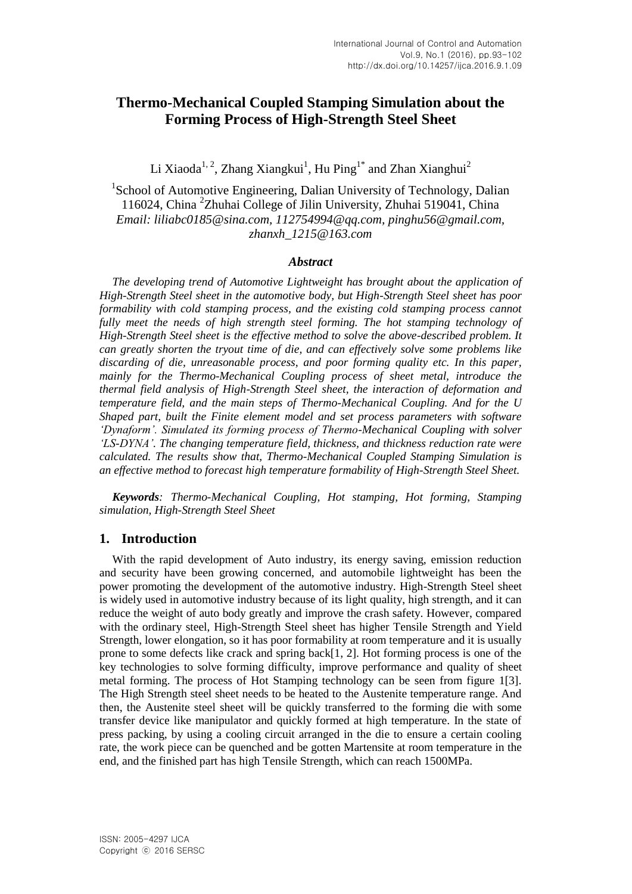# **Thermo-Mechanical Coupled Stamping Simulation about the Forming Process of High-Strength Steel Sheet**

Li Xiaoda<sup>1, 2</sup>, Zhang Xiangkui<sup>1</sup>, Hu Ping<sup>1\*</sup> and Zhan Xianghui<sup>2</sup>

<sup>1</sup>School of Automotive Engineering, Dalian University of Technology, Dalian 116024, China <sup>2</sup> Zhuhai College of Jilin University, Zhuhai 519041, China *Email: liliabc0185@sina.com, 112754994@qq.com, pinghu56@gmail.com, zhanxh\_1215@163.com*

### *Abstract*

*The developing trend of Automotive Lightweight has brought about the application of High-Strength Steel sheet in the automotive body, but High-Strength Steel sheet has poor formability with cold stamping process, and the existing cold stamping process cannot fully meet the needs of high strength steel forming. The hot stamping technology of High-Strength Steel sheet is the effective method to solve the above-described problem. It can greatly shorten the tryout time of die, and can effectively solve some problems like discarding of die, unreasonable process, and poor forming quality etc. In this paper, mainly for the Thermo-Mechanical Coupling process of sheet metal, introduce the thermal field analysis of High-Strength Steel sheet, the interaction of deformation and temperature field, and the main steps of Thermo-Mechanical Coupling. And for the U Shaped part, built the Finite element model and set process parameters with software 'Dynaform'. Simulated its forming process of Thermo-Mechanical Coupling with solver 'LS-DYNA'. The changing temperature field, thickness, and thickness reduction rate were calculated. The results show that, Thermo-Mechanical Coupled Stamping Simulation is an effective method to forecast high temperature formability of High-Strength Steel Sheet.*

*Keywords: Thermo-Mechanical Coupling, Hot stamping, Hot forming, Stamping simulation, High-Strength Steel Sheet*

### **1. Introduction**

With the rapid development of Auto industry, its energy saving, emission reduction and security have been growing concerned, and automobile lightweight has been the power promoting the development of the automotive industry. High-Strength Steel sheet is widely used in automotive industry because of its light quality, high strength, and it can reduce the weight of auto body greatly and improve the crash safety. However, compared with the ordinary steel, High-Strength Steel sheet has higher Tensile Strength and Yield Strength, lower elongation, so it has poor formability at room temperature and it is usually prone to some defects like crack and spring back[1, 2]. Hot forming process is one of the key technologies to solve forming difficulty, improve performance and quality of sheet metal forming. The process of Hot Stamping technology can be seen from figure 1[3]. The High Strength steel sheet needs to be heated to the Austenite temperature range. And then, the Austenite steel sheet will be quickly transferred to the forming die with some transfer device like manipulator and quickly formed at high temperature. In the state of press packing, by using a cooling circuit arranged in the die to ensure a certain cooling rate, the work piece can be quenched and be gotten Martensite at room temperature in the end, and the finished part has high Tensile Strength, which can reach 1500MPa.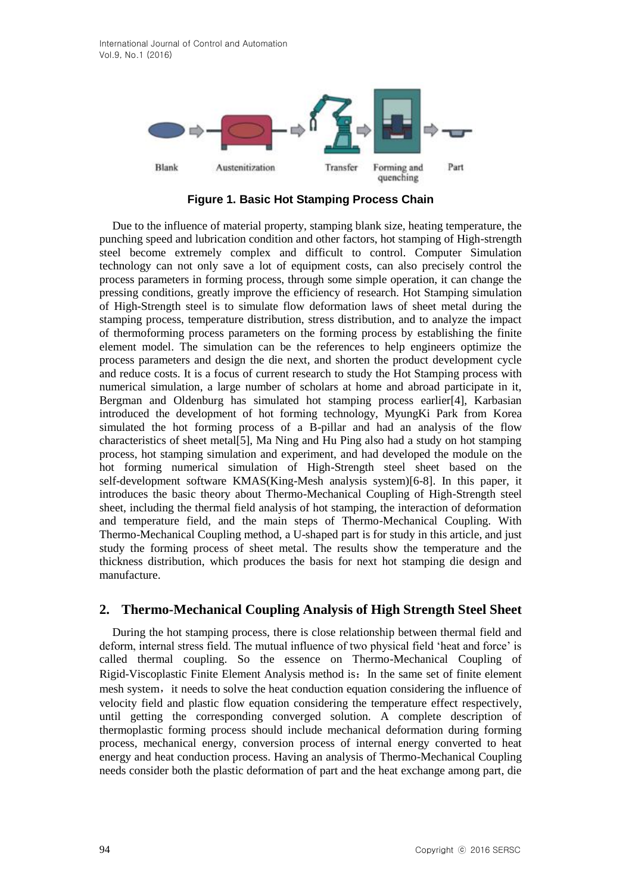International Journal of Control and Automation Vol.9, No.1 (2016)



**Figure 1. Basic Hot Stamping Process Chain**

Due to the influence of material property, stamping blank size, heating temperature, the punching speed and lubrication condition and other factors, hot stamping of High-strength steel become extremely complex and difficult to control. Computer Simulation technology can not only save a lot of equipment costs, can also precisely control the process parameters in forming process, through some simple operation, it can change the pressing conditions, greatly improve the efficiency of research. Hot Stamping simulation of High-Strength steel is to simulate flow deformation laws of sheet metal during the stamping process, temperature distribution, stress distribution, and to analyze the impact of thermoforming process parameters on the forming process by establishing the finite element model. The simulation can be the references to help engineers optimize the process parameters and design the die next, and shorten the product development cycle and reduce costs. It is a focus of current research to study the Hot Stamping process with numerical simulation, a large number of scholars at home and abroad participate in it, Bergman and Oldenburg has simulated hot stamping process earlier[4], Karbasian introduced the development of hot forming technology, MyungKi Park from Korea simulated the hot forming process of a B-pillar and had an analysis of the flow characteristics of sheet metal[5], Ma Ning and Hu Ping also had a study on hot stamping process, hot stamping simulation and experiment, and had developed the module on the hot forming numerical simulation of High-Strength steel sheet based on the self-development software KMAS(King-Mesh analysis system)[6-8]. In this paper, it introduces the basic theory about Thermo-Mechanical Coupling of High-Strength steel sheet, including the thermal field analysis of hot stamping, the interaction of deformation and temperature field, and the main steps of Thermo-Mechanical Coupling. With Thermo-Mechanical Coupling method, a U-shaped part is for study in this article, and just study the forming process of sheet metal. The results show the temperature and the thickness distribution, which produces the basis for next hot stamping die design and manufacture.

### **2. Thermo-Mechanical Coupling Analysis of High Strength Steel Sheet**

During the hot stamping process, there is close relationship between thermal field and deform, internal stress field. The mutual influence of two physical field "heat and force" is called thermal coupling. So the essence on Thermo-Mechanical Coupling of Rigid-Viscoplastic Finite Element Analysis method is: In the same set of finite element mesh system, it needs to solve the heat conduction equation considering the influence of velocity field and plastic flow equation considering the temperature effect respectively, until getting the corresponding converged solution. A complete description of thermoplastic forming process should include mechanical deformation during forming process, mechanical energy, conversion process of internal energy converted to heat energy and heat conduction process. Having an analysis of Thermo-Mechanical Coupling needs consider both the plastic deformation of part and the heat exchange among part, die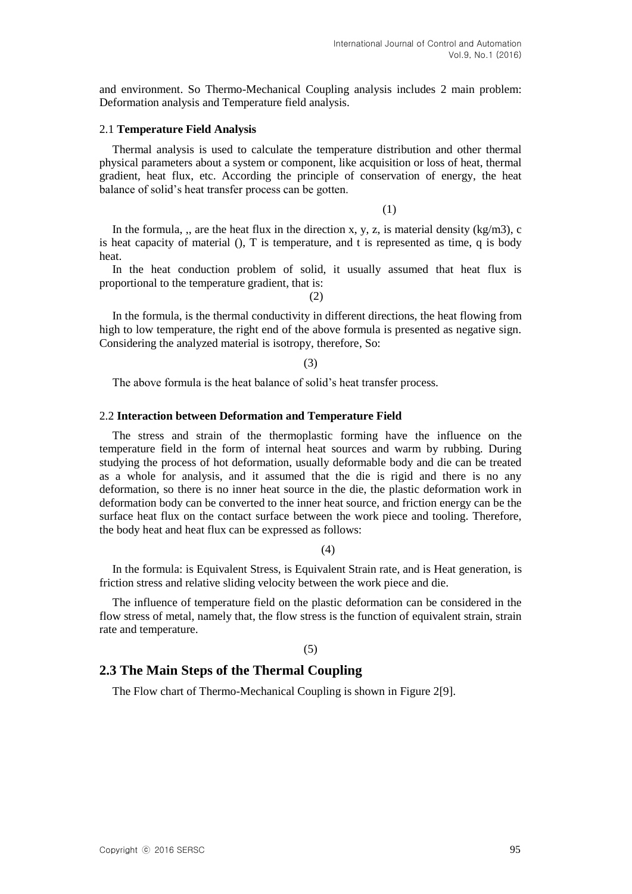and environment. So Thermo-Mechanical Coupling analysis includes 2 main problem: Deformation analysis and Temperature field analysis.

#### 2.1 **Temperature Field Analysis**

Thermal analysis is used to calculate the temperature distribution and other thermal physical parameters about a system or component, like acquisition or loss of heat, thermal gradient, heat flux, etc. According the principle of conservation of energy, the heat balance of solid"s heat transfer process can be gotten.

(1)

In the formula, ,, are the heat flux in the direction x, y, z, is material density  $(kg/m3)$ , c is heat capacity of material (), T is temperature, and t is represented as time, q is body heat.

In the heat conduction problem of solid, it usually assumed that heat flux is proportional to the temperature gradient, that is:

(2)

In the formula, is the thermal conductivity in different directions, the heat flowing from high to low temperature, the right end of the above formula is presented as negative sign. Considering the analyzed material is isotropy, therefore, So:

(3)

The above formula is the heat balance of solid's heat transfer process.

#### 2.2 **Interaction between Deformation and Temperature Field**

The stress and strain of the thermoplastic forming have the influence on the temperature field in the form of internal heat sources and warm by rubbing. During studying the process of hot deformation, usually deformable body and die can be treated as a whole for analysis, and it assumed that the die is rigid and there is no any deformation, so there is no inner heat source in the die, the plastic deformation work in deformation body can be converted to the inner heat source, and friction energy can be the surface heat flux on the contact surface between the work piece and tooling. Therefore, the body heat and heat flux can be expressed as follows:

(4)

In the formula: is Equivalent Stress, is Equivalent Strain rate, and is Heat generation, is friction stress and relative sliding velocity between the work piece and die.

The influence of temperature field on the plastic deformation can be considered in the flow stress of metal, namely that, the flow stress is the function of equivalent strain, strain rate and temperature.

#### (5)

### **2.3 The Main Steps of the Thermal Coupling**

The Flow chart of Thermo-Mechanical Coupling is shown in Figure 2[9].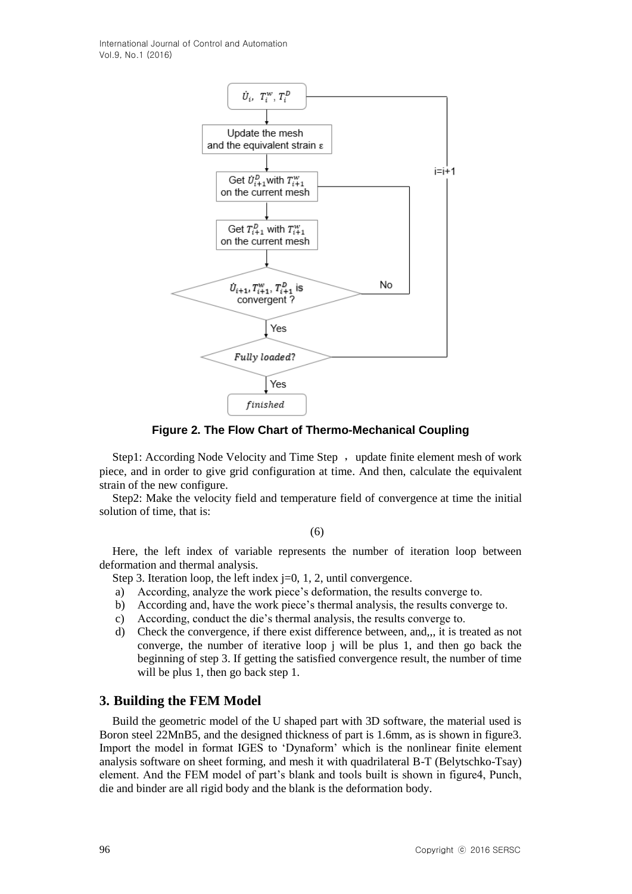International Journal of Control and Automation Vol.9, No.1 (2016)



**Figure 2. The Flow Chart of Thermo-Mechanical Coupling**

Step1: According Node Velocity and Time Step , update finite element mesh of work piece, and in order to give grid configuration at time. And then, calculate the equivalent strain of the new configure.

Step2: Make the velocity field and temperature field of convergence at time the initial solution of time, that is:

(6)

Here, the left index of variable represents the number of iteration loop between deformation and thermal analysis.

Step 3. Iteration loop, the left index  $j=0, 1, 2$ , until convergence.

- a) According, analyze the work piece"s deformation, the results converge to.
- b) According and, have the work piece"s thermal analysis, the results converge to.
- c) According, conduct the die"s thermal analysis, the results converge to.
- d) Check the convergence, if there exist difference between, and,,, it is treated as not converge, the number of iterative loop j will be plus 1, and then go back the beginning of step 3. If getting the satisfied convergence result, the number of time will be plus 1, then go back step 1.

### **3. Building the FEM Model**

Build the geometric model of the U shaped part with 3D software, the material used is Boron steel 22MnB5, and the designed thickness of part is 1.6mm, as is shown in figure3. Import the model in format IGES to "Dynaform" which is the nonlinear finite element analysis software on sheet forming, and mesh it with quadrilateral B-T (Belytschko-Tsay) element. And the FEM model of part"s blank and tools built is shown in figure4, Punch, die and binder are all rigid body and the blank is the deformation body.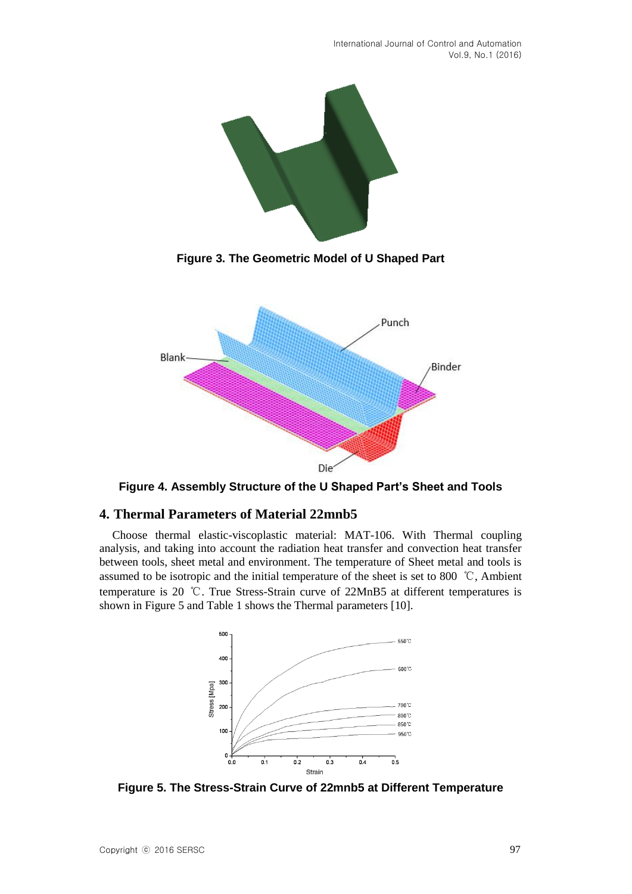

**Figure 3. The Geometric Model of U Shaped Part**



**Figure 4. Assembly Structure of the U Shaped Part's Sheet and Tools**

## **4. Thermal Parameters of Material 22mnb5**

Choose thermal elastic-viscoplastic material: MAT-106. With Thermal coupling analysis, and taking into account the radiation heat transfer and convection heat transfer between tools, sheet metal and environment. The temperature of Sheet metal and tools is assumed to be isotropic and the initial temperature of the sheet is set to 800 ℃, Ambient temperature is 20 ℃. True Stress-Strain curve of 22MnB5 at different temperatures is shown in Figure 5 and Table 1 shows the Thermal parameters [10].



**Figure 5. The Stress-Strain Curve of 22mnb5 at Different Temperature**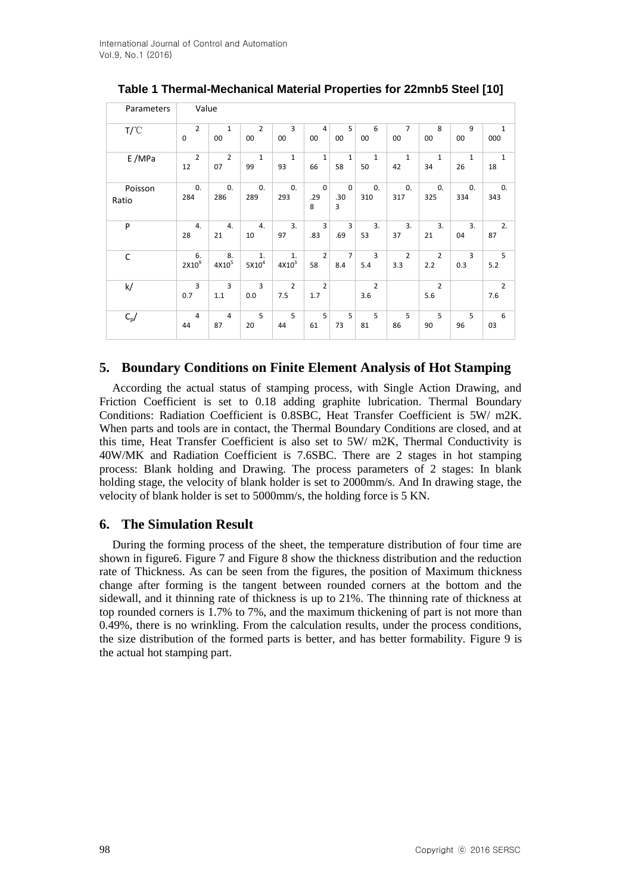| Parameters       | Value                 |                       |                       |                       |                         |                       |                       |                     |                       |              |                       |
|------------------|-----------------------|-----------------------|-----------------------|-----------------------|-------------------------|-----------------------|-----------------------|---------------------|-----------------------|--------------|-----------------------|
| $T/\text{C}$     | $\overline{2}$        | $\mathbf{1}$          | $\overline{2}$        | 3                     | 4                       | 5                     | 6                     | $\overline{7}$      | 8                     | 9            | $\mathbf{1}$          |
|                  | $\mathbf 0$           | 00                    | 00                    | 00                    | 00                      | 00                    | 00                    | 00                  | 00                    | 00           | 000                   |
| E/MPa            | $\overline{2}$        | $\overline{2}$        | $\mathbf{1}$          | 1                     | $\mathbf{1}$            | $1\,$                 | $\mathbf{1}$          | 1                   | 1                     | $\mathbf{1}$ | $\mathbf{1}$          |
|                  | 12                    | 07                    | 99                    | 93                    | 66                      | 58                    | 50                    | 42                  | 34                    | 26           | 18                    |
| Poisson<br>Ratio | 0.<br>284             | 0.<br>286             | 0.<br>289             | $\mathbf{0}$<br>293   | $\mathbf 0$<br>.29<br>8 | $\pmb{0}$<br>.30<br>3 | 0.<br>310             | $\mathbf{0}$<br>317 | $\mathbf{0}$<br>325   | 0.<br>334    | 0.<br>343             |
| P                | 4.                    | 4.                    | 4.                    | 3.                    | 3                       | 3                     | 3.                    | 3.                  | 3.                    | 3.           | 2.                    |
|                  | 28                    | 21                    | 10                    | 97                    | .83                     | .69                   | 53                    | 37                  | 21                    | 04           | 87                    |
| C                | 6.                    | 8.                    | 1.                    | 1.                    | $\overline{2}$          | $\overline{7}$        | $\overline{3}$        | $\overline{2}$      | $\overline{2}$        | 3            | 5                     |
|                  | 2X10 <sup>9</sup>     | $4X10^5$              | $5 \mathrm{X} 10^4$   | $4 \mathrm{X} 10^3$   | 58                      | 8.4                   | 5.4                   | 3.3                 | 2.2                   | 0.3          | 5.2                   |
| k/               | $\overline{3}$<br>0.7 | $\overline{3}$<br>1.1 | $\overline{3}$<br>0.0 | $\overline{2}$<br>7.5 | $\overline{2}$<br>1.7   |                       | $\overline{2}$<br>3.6 |                     | $\overline{2}$<br>5.6 |              | $\overline{2}$<br>7.6 |
| $C_p/$           | 4                     | $\overline{4}$        | 5                     | 5                     | 5                       | 5                     | 5                     | 5                   | 5                     | 5            | 6                     |
|                  | 44                    | 87                    | 20                    | 44                    | 61                      | 73                    | 81                    | 86                  | 90                    | 96           | 03                    |

**Table 1 Thermal-Mechanical Material Properties for 22mnb5 Steel [10]**

## **5. Boundary Conditions on Finite Element Analysis of Hot Stamping**

According the actual status of stamping process, with Single Action Drawing, and Friction Coefficient is set to 0.18 adding graphite lubrication. Thermal Boundary Conditions: Radiation Coefficient is 0.8SBC, Heat Transfer Coefficient is 5W/ m2K. When parts and tools are in contact, the Thermal Boundary Conditions are closed, and at this time, Heat Transfer Coefficient is also set to 5W/ m2K, Thermal Conductivity is 40W/MK and Radiation Coefficient is 7.6SBC. There are 2 stages in hot stamping process: Blank holding and Drawing. The process parameters of 2 stages: In blank holding stage, the velocity of blank holder is set to 2000mm/s. And In drawing stage, the velocity of blank holder is set to 5000mm/s, the holding force is 5 KN.

## **6. The Simulation Result**

During the forming process of the sheet, the temperature distribution of four time are shown in figure6. Figure 7 and Figure 8 show the thickness distribution and the reduction rate of Thickness. As can be seen from the figures, the position of Maximum thickness change after forming is the tangent between rounded corners at the bottom and the sidewall, and it thinning rate of thickness is up to 21%. The thinning rate of thickness at top rounded corners is 1.7% to 7%, and the maximum thickening of part is not more than 0.49%, there is no wrinkling. From the calculation results, under the process conditions, the size distribution of the formed parts is better, and has better formability. Figure 9 is the actual hot stamping part.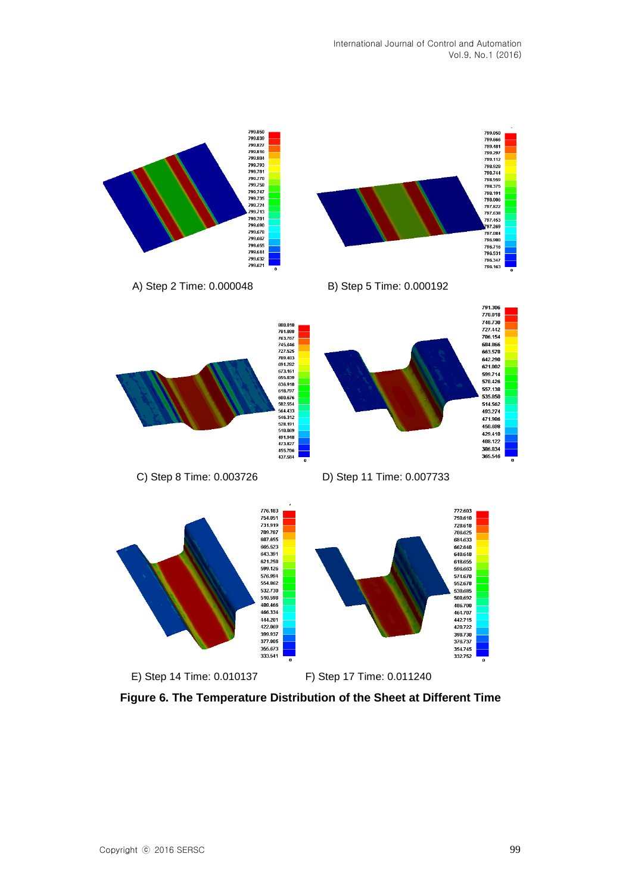

**Figure 6. The Temperature Distribution of the Sheet at Different Time**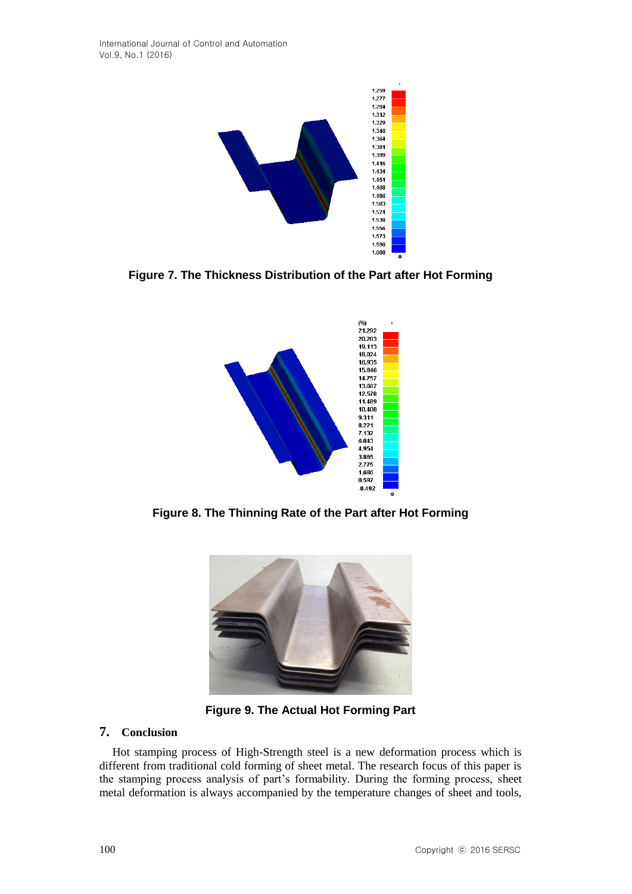

**Figure 7. The Thickness Distribution of the Part after Hot Forming**



**Figure 8. The Thinning Rate of the Part after Hot Forming**



**Figure 9. The Actual Hot Forming Part**

### **7. Conclusion**

Hot stamping process of High-Strength steel is a new deformation process which is different from traditional cold forming of sheet metal. The research focus of this paper is the stamping process analysis of part's formability. During the forming process, sheet metal deformation is always accompanied by the temperature changes of sheet and tools,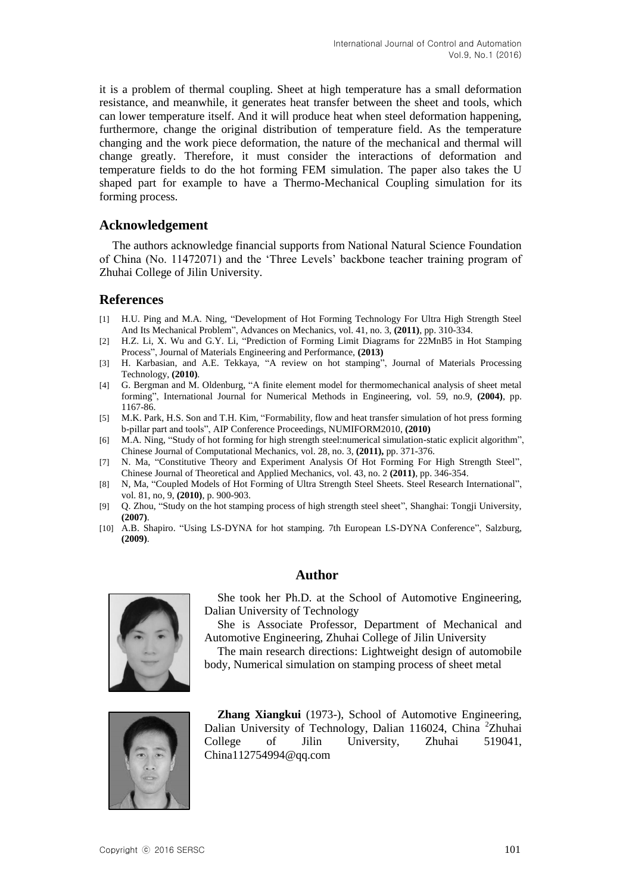it is a problem of thermal coupling. Sheet at high temperature has a small deformation resistance, and meanwhile, it generates heat transfer between the sheet and tools, which can lower temperature itself. And it will produce heat when steel deformation happening, furthermore, change the original distribution of temperature field. As the temperature changing and the work piece deformation, the nature of the mechanical and thermal will change greatly. Therefore, it must consider the interactions of deformation and temperature fields to do the hot forming FEM simulation. The paper also takes the U shaped part for example to have a Thermo-Mechanical Coupling simulation for its forming process.

### **Acknowledgement**

The authors acknowledge financial supports from National Natural Science Foundation of China (No. 11472071) and the "Three Levels" backbone teacher training program of Zhuhai College of Jilin University.

### **References**

- [1] H.U. Ping and M.A. Ning, "Development of Hot Forming Technology For Ultra High Strength Steel And Its Mechanical Problem", Advances on Mechanics, vol. 41, no. 3, **(2011)**, pp. 310-334.
- [2] H.Z. Li, X. Wu and G.Y. Li, "Prediction of Forming Limit Diagrams for 22MnB5 in Hot Stamping Process", Journal of Materials Engineering and Performance, **(2013)**
- [3] H. Karbasian, and A.E. Tekkaya, "A review on hot stamping", Journal of Materials Processing Technology, **(2010)**.
- [4] G. Bergman and M. Oldenburg, "A finite element model for thermomechanical analysis of sheet metal forming", International Journal for Numerical Methods in Engineering, vol. 59, no.9, **(2004)**, pp. 1167-86.
- [5] M.K. Park, H.S. Son and T.H. Kim, "Formability, flow and heat transfer simulation of hot press forming b-pillar part and tools", AIP Conference Proceedings, NUMIFORM2010, **(2010)**
- [6] M.A. Ning, "Study of hot forming for high strength steel:numerical simulation-static explicit algorithm", Chinese Journal of Computational Mechanics, vol. 28, no. 3, **(2011),** pp. 371-376.
- [7] N. Ma, "Constitutive Theory and Experiment Analysis Of Hot Forming For High Strength Steel", Chinese Journal of Theoretical and Applied Mechanics, vol. 43, no. 2 **(2011)**, pp. 346-354.
- [8] N, Ma, "Coupled Models of Hot Forming of Ultra Strength Steel Sheets. Steel Research International", vol. 81, no, 9, **(2010)**, p. 900-903.
- [9] Q. Zhou, "Study on the hot stamping process of high strength steel sheet", Shanghai: Tongji University, **(2007)**.
- [10] A.B. Shapiro. "Using LS-DYNA for hot stamping. 7th European LS-DYNA Conference", Salzburg, **(2009)**.



## **Author**

She took her Ph.D. at the School of Automotive Engineering, Dalian University of Technology

She is Associate Professor, Department of Mechanical and Automotive Engineering, Zhuhai College of Jilin University

The main research directions: Lightweight design of automobile body, Numerical simulation on stamping process of sheet metal



**Zhang Xiangkui** (1973-), School of Automotive Engineering, Dalian University of Technology, Dalian 116024, China <sup>2</sup>Zhuhai College of Jilin University, Zhuhai 519041, China112754994@qq.com